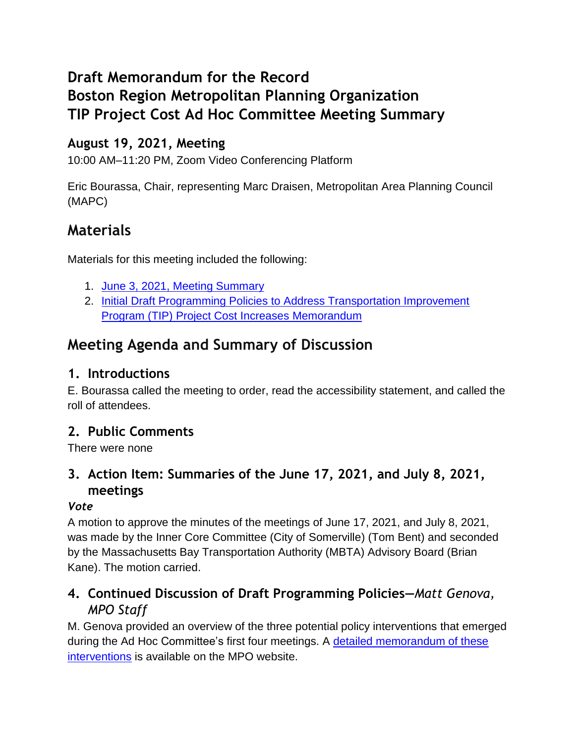# **Draft Memorandum for the Record Boston Region Metropolitan Planning Organization TIP Project Cost Ad Hoc Committee Meeting Summary**

## **August 19, 2021, Meeting**

10:00 AM–11:20 PM, Zoom Video Conferencing Platform

Eric Bourassa, Chair, representing Marc Draisen, Metropolitan Area Planning Council (MAPC)

## **Materials**

Materials for this meeting included the following:

- 1. June 3, 2021, [Meeting Summary](https://www.ctps.org/data/calendar/pdfs/2021/TIP_0729_Draft_Meeting_Summary_0603.pdf)
- 2. [Initial Draft Programming Policies to Address Transportation Improvement](https://www.ctps.org/data/calendar/pdfs/2021/TIP_0729_Draft_Initial_Programming_Policies_Memo.pdf)  [Program \(TIP\) Project Cost Increases](https://www.ctps.org/data/calendar/pdfs/2021/TIP_0729_Draft_Initial_Programming_Policies_Memo.pdf) Memorandum

# **Meeting Agenda and Summary of Discussion**

### **1. Introductions**

E. Bourassa called the meeting to order, read the accessibility statement, and called the roll of attendees.

### **2. Public Comments**

There were none

## **3. Action Item: Summaries of the June 17, 2021, and July 8, 2021, meetings**

#### *Vote*

A motion to approve the minutes of the meetings of June 17, 2021, and July 8, 2021, was made by the Inner Core Committee (City of Somerville) (Tom Bent) and seconded by the Massachusetts Bay Transportation Authority (MBTA) Advisory Board (Brian Kane). The motion carried.

### **4. Continued Discussion of Draft Programming Policies—***Matt Genova, MPO Staff*

M. Genova provided an overview of the three potential policy interventions that emerged during the Ad Hoc Committee's first four meetings. A [detailed memorandum of these](https://www.ctps.org/data/calendar/pdfs/2021/TIP_0902_Memo_Draft_Revised_Programming_Policies.pdf)  [interventions](https://www.ctps.org/data/calendar/pdfs/2021/TIP_0902_Memo_Draft_Revised_Programming_Policies.pdf) is available on the MPO website.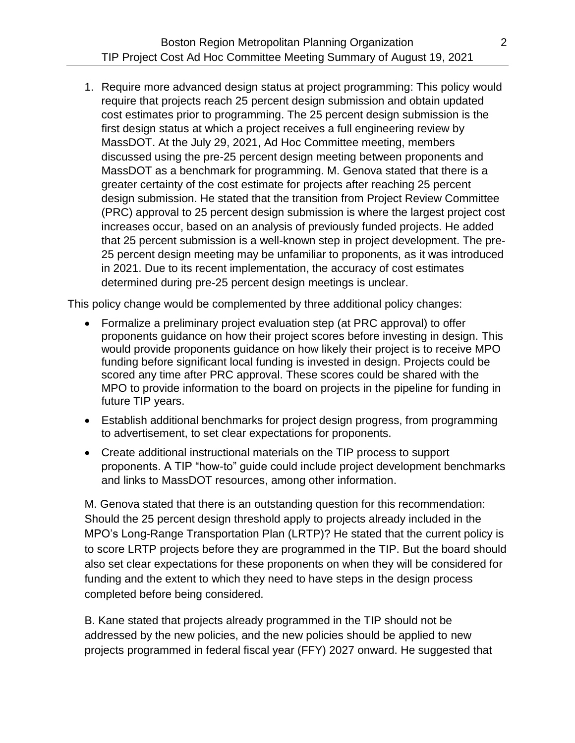1. Require more advanced design status at project programming: This policy would require that projects reach 25 percent design submission and obtain updated cost estimates prior to programming. The 25 percent design submission is the first design status at which a project receives a full engineering review by MassDOT. At the July 29, 2021, Ad Hoc Committee meeting, members discussed using the pre-25 percent design meeting between proponents and MassDOT as a benchmark for programming. M. Genova stated that there is a greater certainty of the cost estimate for projects after reaching 25 percent design submission. He stated that the transition from Project Review Committee (PRC) approval to 25 percent design submission is where the largest project cost increases occur, based on an analysis of previously funded projects. He added that 25 percent submission is a well-known step in project development. The pre-25 percent design meeting may be unfamiliar to proponents, as it was introduced in 2021. Due to its recent implementation, the accuracy of cost estimates determined during pre-25 percent design meetings is unclear.

This policy change would be complemented by three additional policy changes:

- Formalize a preliminary project evaluation step (at PRC approval) to offer proponents guidance on how their project scores before investing in design. This would provide proponents guidance on how likely their project is to receive MPO funding before significant local funding is invested in design. Projects could be scored any time after PRC approval. These scores could be shared with the MPO to provide information to the board on projects in the pipeline for funding in future TIP years.
- Establish additional benchmarks for project design progress, from programming to advertisement, to set clear expectations for proponents.
- Create additional instructional materials on the TIP process to support proponents. A TIP "how-to" guide could include project development benchmarks and links to MassDOT resources, among other information.

M. Genova stated that there is an outstanding question for this recommendation: Should the 25 percent design threshold apply to projects already included in the MPO's Long-Range Transportation Plan (LRTP)? He stated that the current policy is to score LRTP projects before they are programmed in the TIP. But the board should also set clear expectations for these proponents on when they will be considered for funding and the extent to which they need to have steps in the design process completed before being considered.

B. Kane stated that projects already programmed in the TIP should not be addressed by the new policies, and the new policies should be applied to new projects programmed in federal fiscal year (FFY) 2027 onward. He suggested that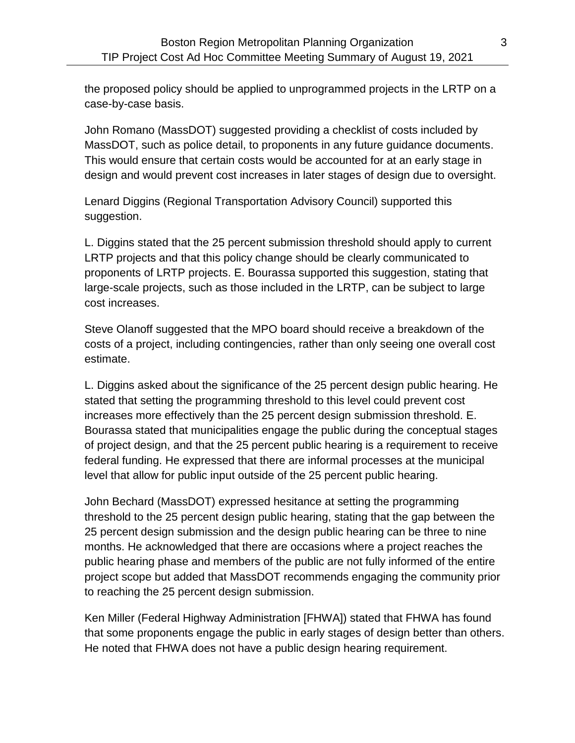the proposed policy should be applied to unprogrammed projects in the LRTP on a case-by-case basis.

John Romano (MassDOT) suggested providing a checklist of costs included by MassDOT, such as police detail, to proponents in any future guidance documents. This would ensure that certain costs would be accounted for at an early stage in design and would prevent cost increases in later stages of design due to oversight.

Lenard Diggins (Regional Transportation Advisory Council) supported this suggestion.

L. Diggins stated that the 25 percent submission threshold should apply to current LRTP projects and that this policy change should be clearly communicated to proponents of LRTP projects. E. Bourassa supported this suggestion, stating that large-scale projects, such as those included in the LRTP, can be subject to large cost increases.

Steve Olanoff suggested that the MPO board should receive a breakdown of the costs of a project, including contingencies, rather than only seeing one overall cost estimate.

L. Diggins asked about the significance of the 25 percent design public hearing. He stated that setting the programming threshold to this level could prevent cost increases more effectively than the 25 percent design submission threshold. E. Bourassa stated that municipalities engage the public during the conceptual stages of project design, and that the 25 percent public hearing is a requirement to receive federal funding. He expressed that there are informal processes at the municipal level that allow for public input outside of the 25 percent public hearing.

John Bechard (MassDOT) expressed hesitance at setting the programming threshold to the 25 percent design public hearing, stating that the gap between the 25 percent design submission and the design public hearing can be three to nine months. He acknowledged that there are occasions where a project reaches the public hearing phase and members of the public are not fully informed of the entire project scope but added that MassDOT recommends engaging the community prior to reaching the 25 percent design submission.

Ken Miller (Federal Highway Administration [FHWA]) stated that FHWA has found that some proponents engage the public in early stages of design better than others. He noted that FHWA does not have a public design hearing requirement.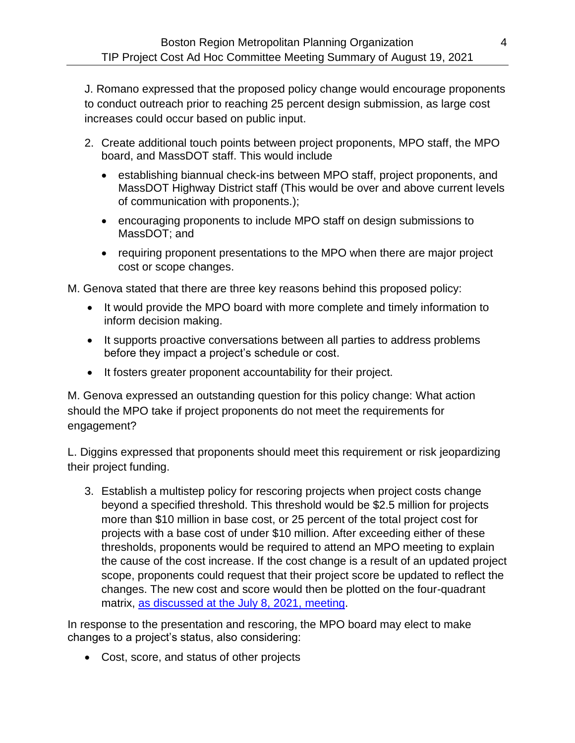J. Romano expressed that the proposed policy change would encourage proponents to conduct outreach prior to reaching 25 percent design submission, as large cost increases could occur based on public input.

- 2. Create additional touch points between project proponents, MPO staff, the MPO board, and MassDOT staff. This would include
	- establishing biannual check-ins between MPO staff, project proponents, and MassDOT Highway District staff (This would be over and above current levels of communication with proponents.);
	- encouraging proponents to include MPO staff on design submissions to MassDOT; and
	- requiring proponent presentations to the MPO when there are major project cost or scope changes.

M. Genova stated that there are three key reasons behind this proposed policy:

- It would provide the MPO board with more complete and timely information to inform decision making.
- It supports proactive conversations between all parties to address problems before they impact a project's schedule or cost.
- It fosters greater proponent accountability for their project.

M. Genova expressed an outstanding question for this policy change: What action should the MPO take if project proponents do not meet the requirements for engagement?

L. Diggins expressed that proponents should meet this requirement or risk jeopardizing their project funding.

3. Establish a multistep policy for rescoring projects when project costs change beyond a specified threshold. This threshold would be \$2.5 million for projects more than \$10 million in base cost, or 25 percent of the total project cost for projects with a base cost of under \$10 million. After exceeding either of these thresholds, proponents would be required to attend an MPO meeting to explain the cause of the cost increase. If the cost change is a result of an updated project scope, proponents could request that their project score be updated to reflect the changes. The new cost and score would then be plotted on the four-quadrant matrix, [as discussed at the July 8, 2021,](https://youtu.be/-Tibuugr4sE?t=3332) meeting.

In response to the presentation and rescoring, the MPO board may elect to make changes to a project's status, also considering:

Cost, score, and status of other projects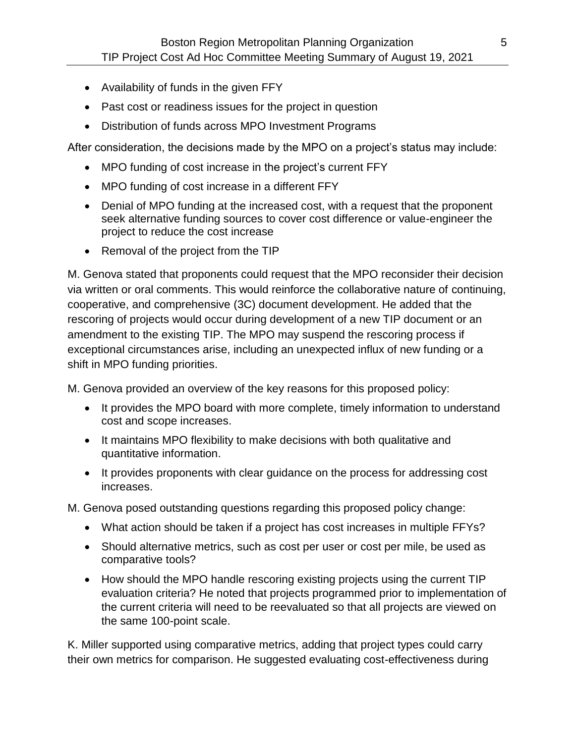- Availability of funds in the given FFY
- Past cost or readiness issues for the project in question
- Distribution of funds across MPO Investment Programs

After consideration, the decisions made by the MPO on a project's status may include:

- MPO funding of cost increase in the project's current FFY
- MPO funding of cost increase in a different FFY
- Denial of MPO funding at the increased cost, with a request that the proponent seek alternative funding sources to cover cost difference or value-engineer the project to reduce the cost increase
- Removal of the project from the TIP

M. Genova stated that proponents could request that the MPO reconsider their decision via written or oral comments. This would reinforce the collaborative nature of continuing, cooperative, and comprehensive (3C) document development. He added that the rescoring of projects would occur during development of a new TIP document or an amendment to the existing TIP. The MPO may suspend the rescoring process if exceptional circumstances arise, including an unexpected influx of new funding or a shift in MPO funding priorities.

M. Genova provided an overview of the key reasons for this proposed policy:

- It provides the MPO board with more complete, timely information to understand cost and scope increases.
- It maintains MPO flexibility to make decisions with both qualitative and quantitative information.
- It provides proponents with clear guidance on the process for addressing cost increases.

M. Genova posed outstanding questions regarding this proposed policy change:

- What action should be taken if a project has cost increases in multiple FFYs?
- Should alternative metrics, such as cost per user or cost per mile, be used as comparative tools?
- How should the MPO handle rescoring existing projects using the current TIP evaluation criteria? He noted that projects programmed prior to implementation of the current criteria will need to be reevaluated so that all projects are viewed on the same 100-point scale.

K. Miller supported using comparative metrics, adding that project types could carry their own metrics for comparison. He suggested evaluating cost-effectiveness during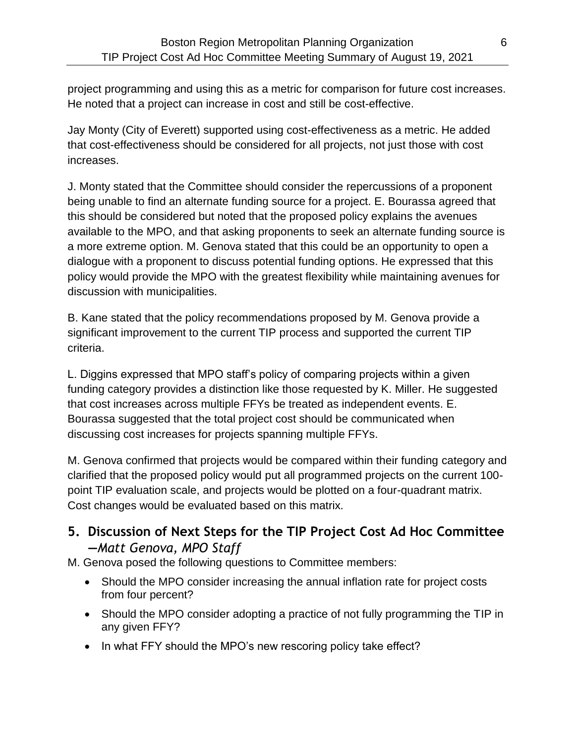project programming and using this as a metric for comparison for future cost increases. He noted that a project can increase in cost and still be cost-effective.

Jay Monty (City of Everett) supported using cost-effectiveness as a metric. He added that cost-effectiveness should be considered for all projects, not just those with cost increases.

J. Monty stated that the Committee should consider the repercussions of a proponent being unable to find an alternate funding source for a project. E. Bourassa agreed that this should be considered but noted that the proposed policy explains the avenues available to the MPO, and that asking proponents to seek an alternate funding source is a more extreme option. M. Genova stated that this could be an opportunity to open a dialogue with a proponent to discuss potential funding options. He expressed that this policy would provide the MPO with the greatest flexibility while maintaining avenues for discussion with municipalities.

B. Kane stated that the policy recommendations proposed by M. Genova provide a significant improvement to the current TIP process and supported the current TIP criteria.

L. Diggins expressed that MPO staff's policy of comparing projects within a given funding category provides a distinction like those requested by K. Miller. He suggested that cost increases across multiple FFYs be treated as independent events. E. Bourassa suggested that the total project cost should be communicated when discussing cost increases for projects spanning multiple FFYs.

M. Genova confirmed that projects would be compared within their funding category and clarified that the proposed policy would put all programmed projects on the current 100 point TIP evaluation scale, and projects would be plotted on a four-quadrant matrix. Cost changes would be evaluated based on this matrix.

**5. Discussion of Next Steps for the TIP Project Cost Ad Hoc Committee —***Matt Genova, MPO Staff*

M. Genova posed the following questions to Committee members:

- Should the MPO consider increasing the annual inflation rate for project costs from four percent?
- Should the MPO consider adopting a practice of not fully programming the TIP in any given FFY?
- In what FFY should the MPO's new rescoring policy take effect?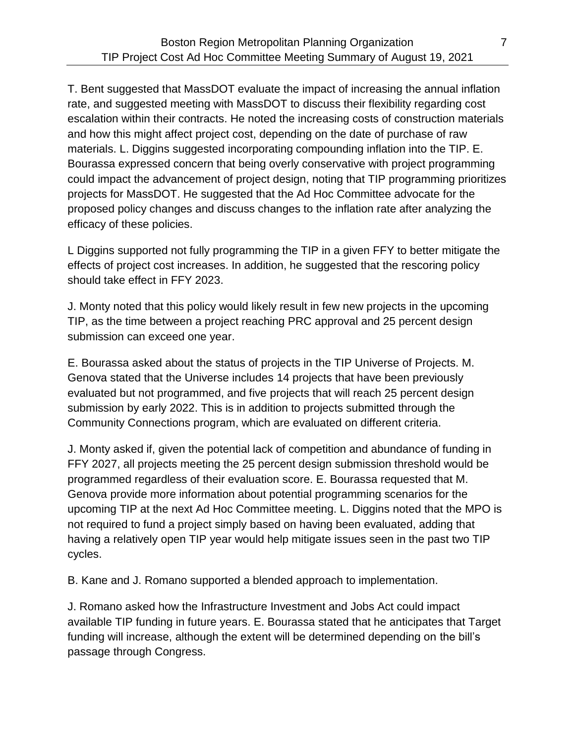T. Bent suggested that MassDOT evaluate the impact of increasing the annual inflation rate, and suggested meeting with MassDOT to discuss their flexibility regarding cost escalation within their contracts. He noted the increasing costs of construction materials and how this might affect project cost, depending on the date of purchase of raw materials. L. Diggins suggested incorporating compounding inflation into the TIP. E. Bourassa expressed concern that being overly conservative with project programming could impact the advancement of project design, noting that TIP programming prioritizes projects for MassDOT. He suggested that the Ad Hoc Committee advocate for the proposed policy changes and discuss changes to the inflation rate after analyzing the efficacy of these policies.

L Diggins supported not fully programming the TIP in a given FFY to better mitigate the effects of project cost increases. In addition, he suggested that the rescoring policy should take effect in FFY 2023.

J. Monty noted that this policy would likely result in few new projects in the upcoming TIP, as the time between a project reaching PRC approval and 25 percent design submission can exceed one year.

E. Bourassa asked about the status of projects in the TIP Universe of Projects. M. Genova stated that the Universe includes 14 projects that have been previously evaluated but not programmed, and five projects that will reach 25 percent design submission by early 2022. This is in addition to projects submitted through the Community Connections program, which are evaluated on different criteria.

J. Monty asked if, given the potential lack of competition and abundance of funding in FFY 2027, all projects meeting the 25 percent design submission threshold would be programmed regardless of their evaluation score. E. Bourassa requested that M. Genova provide more information about potential programming scenarios for the upcoming TIP at the next Ad Hoc Committee meeting. L. Diggins noted that the MPO is not required to fund a project simply based on having been evaluated, adding that having a relatively open TIP year would help mitigate issues seen in the past two TIP cycles.

B. Kane and J. Romano supported a blended approach to implementation.

J. Romano asked how the Infrastructure Investment and Jobs Act could impact available TIP funding in future years. E. Bourassa stated that he anticipates that Target funding will increase, although the extent will be determined depending on the bill's passage through Congress.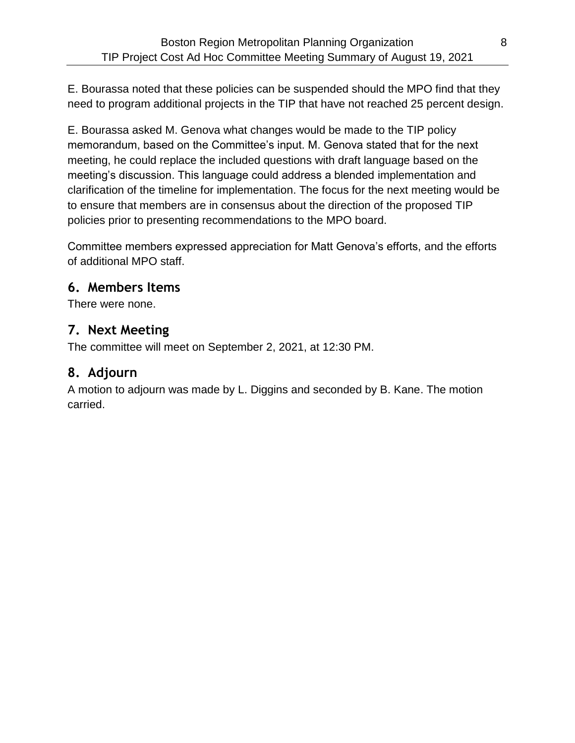E. Bourassa noted that these policies can be suspended should the MPO find that they need to program additional projects in the TIP that have not reached 25 percent design.

E. Bourassa asked M. Genova what changes would be made to the TIP policy memorandum, based on the Committee's input. M. Genova stated that for the next meeting, he could replace the included questions with draft language based on the meeting's discussion. This language could address a blended implementation and clarification of the timeline for implementation. The focus for the next meeting would be to ensure that members are in consensus about the direction of the proposed TIP policies prior to presenting recommendations to the MPO board.

Committee members expressed appreciation for Matt Genova's efforts, and the efforts of additional MPO staff.

#### **6. Members Items**

There were none.

#### **7. Next Meeting**

The committee will meet on September 2, 2021, at 12:30 PM.

#### **8. Adjourn**

A motion to adjourn was made by L. Diggins and seconded by B. Kane. The motion carried.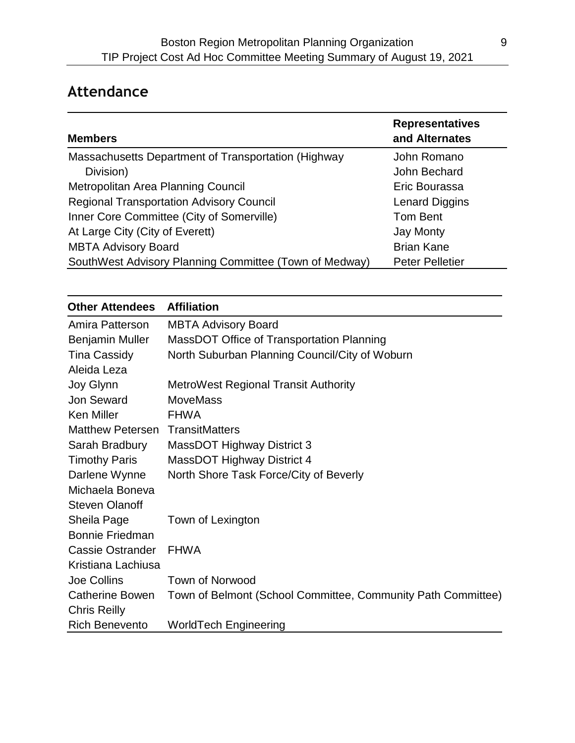# **Attendance**

| <b>Members</b>                                         | <b>Representatives</b><br>and Alternates |
|--------------------------------------------------------|------------------------------------------|
| Massachusetts Department of Transportation (Highway    | John Romano                              |
| Division)                                              | John Bechard                             |
| Metropolitan Area Planning Council                     | Eric Bourassa                            |
| <b>Regional Transportation Advisory Council</b>        | <b>Lenard Diggins</b>                    |
| Inner Core Committee (City of Somerville)              | Tom Bent                                 |
| At Large City (City of Everett)                        | <b>Jay Monty</b>                         |
| <b>MBTA Advisory Board</b>                             | <b>Brian Kane</b>                        |
| SouthWest Advisory Planning Committee (Town of Medway) | <b>Peter Pelletier</b>                   |

| <b>Other Attendees</b>                 | <b>Affiliation</b>                                           |
|----------------------------------------|--------------------------------------------------------------|
| Amira Patterson                        | <b>MBTA Advisory Board</b>                                   |
| <b>Benjamin Muller</b>                 | MassDOT Office of Transportation Planning                    |
| <b>Tina Cassidy</b>                    | North Suburban Planning Council/City of Woburn               |
| Aleida Leza                            |                                                              |
| Joy Glynn                              | <b>MetroWest Regional Transit Authority</b>                  |
| <b>Jon Seward</b>                      | <b>MoveMass</b>                                              |
| <b>Ken Miller</b>                      | <b>FHWA</b>                                                  |
| <b>Matthew Petersen TransitMatters</b> |                                                              |
| Sarah Bradbury                         | <b>MassDOT Highway District 3</b>                            |
| <b>Timothy Paris</b>                   | MassDOT Highway District 4                                   |
| Darlene Wynne                          | North Shore Task Force/City of Beverly                       |
| Michaela Boneva                        |                                                              |
| <b>Steven Olanoff</b>                  |                                                              |
| Sheila Page                            | Town of Lexington                                            |
| <b>Bonnie Friedman</b>                 |                                                              |
| Cassie Ostrander                       | <b>FHWA</b>                                                  |
| Kristiana Lachiusa                     |                                                              |
| Joe Collins                            | Town of Norwood                                              |
| Catherine Bowen                        | Town of Belmont (School Committee, Community Path Committee) |
| <b>Chris Reilly</b>                    |                                                              |
| <b>Rich Benevento</b>                  | <b>WorldTech Engineering</b>                                 |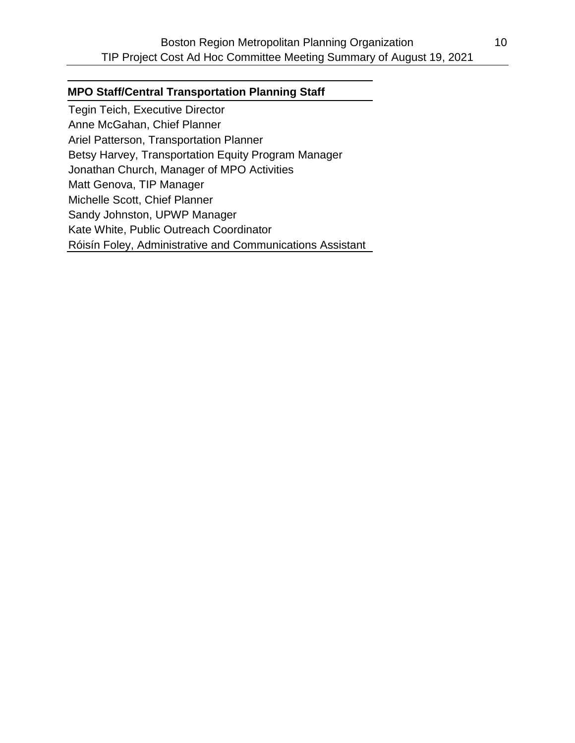#### **MPO Staff/Central Transportation Planning Staff**

Tegin Teich, Executive Director Anne McGahan, Chief Planner Ariel Patterson, Transportation Planner Betsy Harvey, Transportation Equity Program Manager Jonathan Church, Manager of MPO Activities Matt Genova, TIP Manager Michelle Scott, Chief Planner Sandy Johnston, UPWP Manager Kate White, Public Outreach Coordinator Róisín Foley, Administrative and Communications Assistant